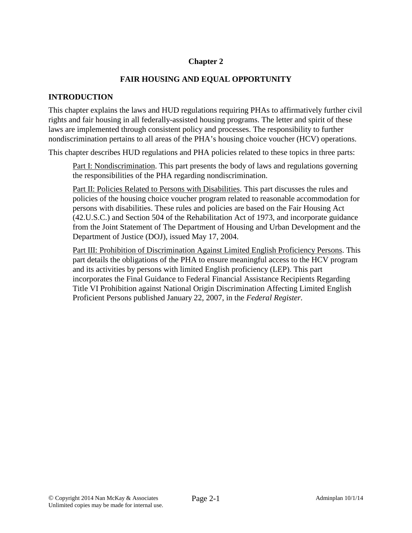## **Chapter 2**

### **FAIR HOUSING AND EQUAL OPPORTUNITY**

#### **INTRODUCTION**

This chapter explains the laws and HUD regulations requiring PHAs to affirmatively further civil rights and fair housing in all federally-assisted housing programs. The letter and spirit of these laws are implemented through consistent policy and processes. The responsibility to further nondiscrimination pertains to all areas of the PHA's housing choice voucher (HCV) operations.

This chapter describes HUD regulations and PHA policies related to these topics in three parts:

Part I: Nondiscrimination. This part presents the body of laws and regulations governing the responsibilities of the PHA regarding nondiscrimination.

Part II: Policies Related to Persons with Disabilities. This part discusses the rules and policies of the housing choice voucher program related to reasonable accommodation for persons with disabilities. These rules and policies are based on the Fair Housing Act (42.U.S.C.) and Section 504 of the Rehabilitation Act of 1973, and incorporate guidance from the Joint Statement of The Department of Housing and Urban Development and the Department of Justice (DOJ), issued May 17, 2004.

Part III: Prohibition of Discrimination Against Limited English Proficiency Persons. This part details the obligations of the PHA to ensure meaningful access to the HCV program and its activities by persons with limited English proficiency (LEP). This part incorporates the Final Guidance to Federal Financial Assistance Recipients Regarding Title VI Prohibition against National Origin Discrimination Affecting Limited English Proficient Persons published January 22, 2007, in the *Federal Register.*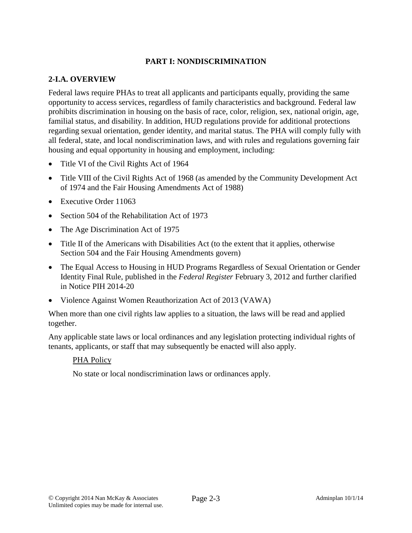### **PART I: NONDISCRIMINATION**

### **2-I.A. OVERVIEW**

Federal laws require PHAs to treat all applicants and participants equally, providing the same opportunity to access services, regardless of family characteristics and background. Federal law prohibits discrimination in housing on the basis of race, color, religion, sex, national origin, age, familial status, and disability. In addition, HUD regulations provide for additional protections regarding sexual orientation, gender identity, and marital status. The PHA will comply fully with all federal, state, and local nondiscrimination laws, and with rules and regulations governing fair housing and equal opportunity in housing and employment, including:

- Title VI of the Civil Rights Act of 1964
- Title VIII of the Civil Rights Act of 1968 (as amended by the Community Development Act of 1974 and the Fair Housing Amendments Act of 1988)
- **Executive Order 11063**
- Section 504 of the Rehabilitation Act of 1973
- The Age Discrimination Act of 1975
- Title II of the Americans with Disabilities Act (to the extent that it applies, otherwise Section 504 and the Fair Housing Amendments govern)
- The Equal Access to Housing in HUD Programs Regardless of Sexual Orientation or Gender Identity Final Rule, published in the *Federal Register* February 3, 2012 and further clarified in Notice PIH 2014-20
- Violence Against Women Reauthorization Act of 2013 (VAWA)

When more than one civil rights law applies to a situation, the laws will be read and applied together.

Any applicable state laws or local ordinances and any legislation protecting individual rights of tenants, applicants, or staff that may subsequently be enacted will also apply.

### PHA Policy

No state or local nondiscrimination laws or ordinances apply.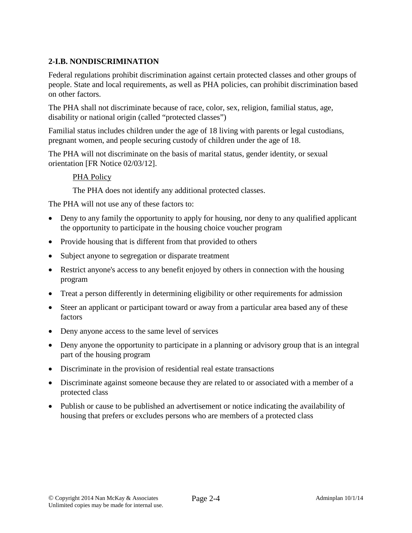## **2-I.B. NONDISCRIMINATION**

Federal regulations prohibit discrimination against certain protected classes and other groups of people. State and local requirements, as well as PHA policies, can prohibit discrimination based on other factors.

The PHA shall not discriminate because of race, color, sex, religion, familial status, age, disability or national origin (called "protected classes")

Familial status includes children under the age of 18 living with parents or legal custodians, pregnant women, and people securing custody of children under the age of 18.

The PHA will not discriminate on the basis of marital status, gender identity, or sexual orientation [FR Notice 02/03/12].

### PHA Policy

The PHA does not identify any additional protected classes.

The PHA will not use any of these factors to:

- Deny to any family the opportunity to apply for housing, nor deny to any qualified applicant the opportunity to participate in the housing choice voucher program
- Provide housing that is different from that provided to others
- Subject anyone to segregation or disparate treatment
- Restrict anyone's access to any benefit enjoyed by others in connection with the housing program
- Treat a person differently in determining eligibility or other requirements for admission
- Steer an applicant or participant toward or away from a particular area based any of these factors
- Deny anyone access to the same level of services
- Deny anyone the opportunity to participate in a planning or advisory group that is an integral part of the housing program
- Discriminate in the provision of residential real estate transactions
- Discriminate against someone because they are related to or associated with a member of a protected class
- Publish or cause to be published an advertisement or notice indicating the availability of housing that prefers or excludes persons who are members of a protected class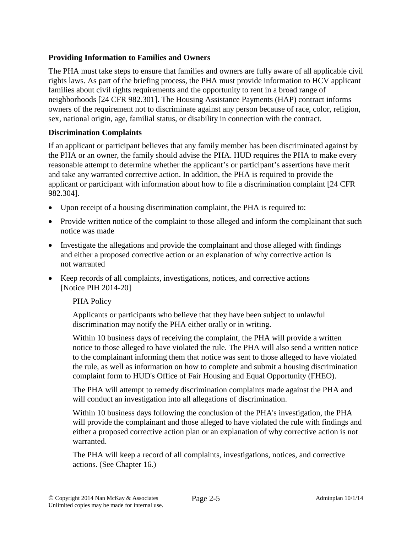### **Providing Information to Families and Owners**

The PHA must take steps to ensure that families and owners are fully aware of all applicable civil rights laws. As part of the briefing process, the PHA must provide information to HCV applicant families about civil rights requirements and the opportunity to rent in a broad range of neighborhoods [24 CFR 982.301]. The Housing Assistance Payments (HAP) contract informs owners of the requirement not to discriminate against any person because of race, color, religion, sex, national origin, age, familial status, or disability in connection with the contract.

### **Discrimination Complaints**

If an applicant or participant believes that any family member has been discriminated against by the PHA or an owner, the family should advise the PHA. HUD requires the PHA to make every reasonable attempt to determine whether the applicant's or participant's assertions have merit and take any warranted corrective action. In addition, the PHA is required to provide the applicant or participant with information about how to file a discrimination complaint [24 CFR 982.304].

- Upon receipt of a housing discrimination complaint, the PHA is required to:
- Provide written notice of the complaint to those alleged and inform the complainant that such notice was made
- Investigate the allegations and provide the complainant and those alleged with findings and either a proposed corrective action or an explanation of why corrective action is not warranted
- Keep records of all complaints, investigations, notices, and corrective actions [Notice PIH 2014-20]

### PHA Policy

Applicants or participants who believe that they have been subject to unlawful discrimination may notify the PHA either orally or in writing.

Within 10 business days of receiving the complaint, the PHA will provide a written notice to those alleged to have violated the rule. The PHA will also send a written notice to the complainant informing them that notice was sent to those alleged to have violated the rule, as well as information on how to complete and submit a housing discrimination complaint form to HUD's Office of Fair Housing and Equal Opportunity (FHEO).

The PHA will attempt to remedy discrimination complaints made against the PHA and will conduct an investigation into all allegations of discrimination.

Within 10 business days following the conclusion of the PHA's investigation, the PHA will provide the complainant and those alleged to have violated the rule with findings and either a proposed corrective action plan or an explanation of why corrective action is not warranted.

The PHA will keep a record of all complaints, investigations, notices, and corrective actions. (See Chapter 16.)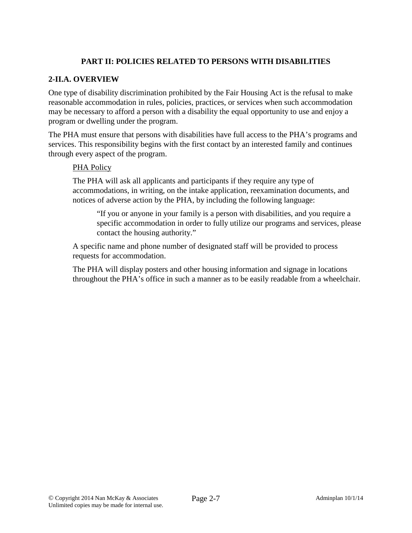## **PART II: POLICIES RELATED TO PERSONS WITH DISABILITIES**

### **2-II.A. OVERVIEW**

One type of disability discrimination prohibited by the Fair Housing Act is the refusal to make reasonable accommodation in rules, policies, practices, or services when such accommodation may be necessary to afford a person with a disability the equal opportunity to use and enjoy a program or dwelling under the program.

The PHA must ensure that persons with disabilities have full access to the PHA's programs and services. This responsibility begins with the first contact by an interested family and continues through every aspect of the program.

### PHA Policy

The PHA will ask all applicants and participants if they require any type of accommodations, in writing, on the intake application, reexamination documents, and notices of adverse action by the PHA, by including the following language:

"If you or anyone in your family is a person with disabilities, and you require a specific accommodation in order to fully utilize our programs and services, please contact the housing authority."

A specific name and phone number of designated staff will be provided to process requests for accommodation.

The PHA will display posters and other housing information and signage in locations throughout the PHA's office in such a manner as to be easily readable from a wheelchair.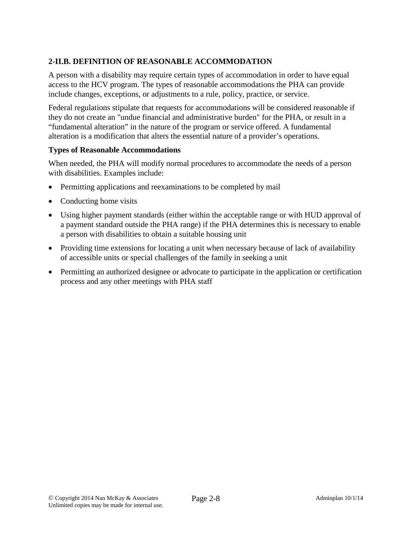# **2-II.B. DEFINITION OF REASONABLE ACCOMMODATION**

A person with a disability may require certain types of accommodation in order to have equal access to the HCV program. The types of reasonable accommodations the PHA can provide include changes, exceptions, or adjustments to a rule, policy, practice, or service.

Federal regulations stipulate that requests for accommodations will be considered reasonable if they do not create an "undue financial and administrative burden" for the PHA, or result in a "fundamental alteration" in the nature of the program or service offered. A fundamental alteration is a modification that alters the essential nature of a provider's operations.

### **Types of Reasonable Accommodations**

When needed, the PHA will modify normal procedures to accommodate the needs of a person with disabilities. Examples include:

- Permitting applications and reexaminations to be completed by mail
- Conducting home visits
- Using higher payment standards (either within the acceptable range or with HUD approval of a payment standard outside the PHA range) if the PHA determines this is necessary to enable a person with disabilities to obtain a suitable housing unit
- Providing time extensions for locating a unit when necessary because of lack of availability of accessible units or special challenges of the family in seeking a unit
- Permitting an authorized designee or advocate to participate in the application or certification process and any other meetings with PHA staff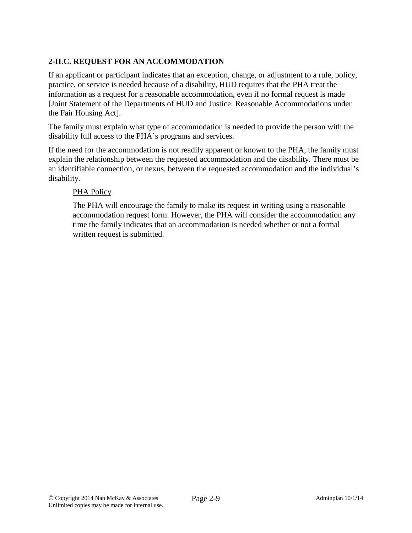# **2-II.C. REQUEST FOR AN ACCOMMODATION**

If an applicant or participant indicates that an exception, change, or adjustment to a rule, policy, practice, or service is needed because of a disability, HUD requires that the PHA treat the information as a request for a reasonable accommodation, even if no formal request is made [Joint Statement of the Departments of HUD and Justice: Reasonable Accommodations under the Fair Housing Act].

The family must explain what type of accommodation is needed to provide the person with the disability full access to the PHA's programs and services.

If the need for the accommodation is not readily apparent or known to the PHA, the family must explain the relationship between the requested accommodation and the disability. There must be an identifiable connection, or nexus, between the requested accommodation and the individual's disability.

### PHA Policy

The PHA will encourage the family to make its request in writing using a reasonable accommodation request form. However, the PHA will consider the accommodation any time the family indicates that an accommodation is needed whether or not a formal written request is submitted.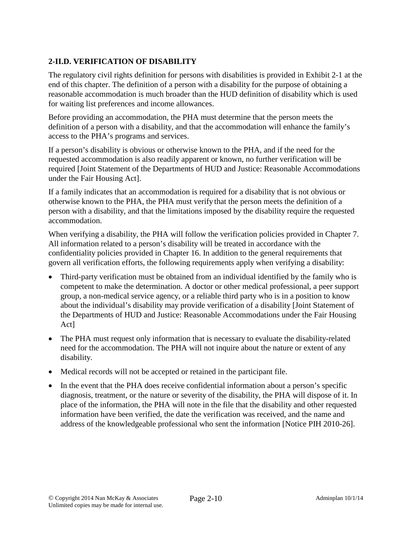# **2-II.D. VERIFICATION OF DISABILITY**

The regulatory civil rights definition for persons with disabilities is provided in Exhibit 2-1 at the end of this chapter. The definition of a person with a disability for the purpose of obtaining a reasonable accommodation is much broader than the HUD definition of disability which is used for waiting list preferences and income allowances.

Before providing an accommodation, the PHA must determine that the person meets the definition of a person with a disability, and that the accommodation will enhance the family's access to the PHA's programs and services.

If a person's disability is obvious or otherwise known to the PHA, and if the need for the requested accommodation is also readily apparent or known, no further verification will be required [Joint Statement of the Departments of HUD and Justice: Reasonable Accommodations under the Fair Housing Act].

If a family indicates that an accommodation is required for a disability that is not obvious or otherwise known to the PHA, the PHA must verify that the person meets the definition of a person with a disability, and that the limitations imposed by the disability require the requested accommodation.

When verifying a disability, the PHA will follow the verification policies provided in Chapter 7. All information related to a person's disability will be treated in accordance with the confidentiality policies provided in Chapter 16. In addition to the general requirements that govern all verification efforts, the following requirements apply when verifying a disability:

- Third-party verification must be obtained from an individual identified by the family who is competent to make the determination. A doctor or other medical professional, a peer support group, a non-medical service agency, or a reliable third party who is in a position to know about the individual's disability may provide verification of a disability [Joint Statement of the Departments of HUD and Justice: Reasonable Accommodations under the Fair Housing Act]
- The PHA must request only information that is necessary to evaluate the disability-related need for the accommodation. The PHA will not inquire about the nature or extent of any disability.
- Medical records will not be accepted or retained in the participant file.
- In the event that the PHA does receive confidential information about a person's specific diagnosis, treatment, or the nature or severity of the disability, the PHA will dispose of it. In place of the information, the PHA will note in the file that the disability and other requested information have been verified, the date the verification was received, and the name and address of the knowledgeable professional who sent the information [Notice PIH 2010-26].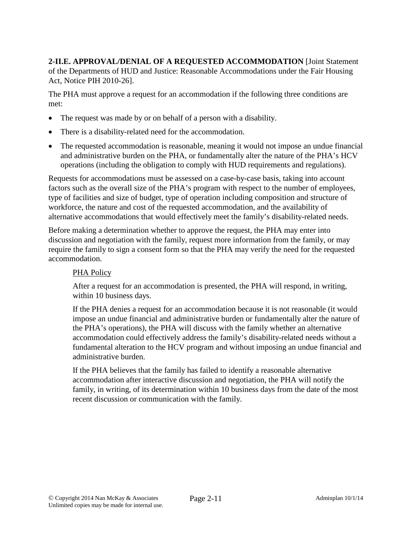**2-II.E. APPROVAL/DENIAL OF A REQUESTED ACCOMMODATION** [Joint Statement of the Departments of HUD and Justice: Reasonable Accommodations under the Fair Housing Act, Notice PIH 2010-26].

The PHA must approve a request for an accommodation if the following three conditions are met:

- The request was made by or on behalf of a person with a disability.
- There is a disability-related need for the accommodation.
- The requested accommodation is reasonable, meaning it would not impose an undue financial and administrative burden on the PHA, or fundamentally alter the nature of the PHA's HCV operations (including the obligation to comply with HUD requirements and regulations).

Requests for accommodations must be assessed on a case-by-case basis, taking into account factors such as the overall size of the PHA's program with respect to the number of employees, type of facilities and size of budget, type of operation including composition and structure of workforce, the nature and cost of the requested accommodation, and the availability of alternative accommodations that would effectively meet the family's disability-related needs.

Before making a determination whether to approve the request, the PHA may enter into discussion and negotiation with the family, request more information from the family, or may require the family to sign a consent form so that the PHA may verify the need for the requested accommodation.

### PHA Policy

After a request for an accommodation is presented, the PHA will respond, in writing, within 10 business days.

If the PHA denies a request for an accommodation because it is not reasonable (it would impose an undue financial and administrative burden or fundamentally alter the nature of the PHA's operations), the PHA will discuss with the family whether an alternative accommodation could effectively address the family's disability-related needs without a fundamental alteration to the HCV program and without imposing an undue financial and administrative burden.

If the PHA believes that the family has failed to identify a reasonable alternative accommodation after interactive discussion and negotiation, the PHA will notify the family, in writing, of its determination within 10 business days from the date of the most recent discussion or communication with the family.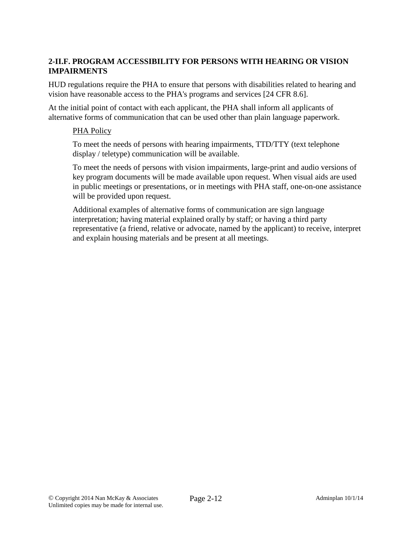## **2-II.F. PROGRAM ACCESSIBILITY FOR PERSONS WITH HEARING OR VISION IMPAIRMENTS**

HUD regulations require the PHA to ensure that persons with disabilities related to hearing and vision have reasonable access to the PHA's programs and services [24 CFR 8.6].

At the initial point of contact with each applicant, the PHA shall inform all applicants of alternative forms of communication that can be used other than plain language paperwork.

#### PHA Policy

To meet the needs of persons with hearing impairments, TTD/TTY (text telephone display / teletype) communication will be available.

To meet the needs of persons with vision impairments, large-print and audio versions of key program documents will be made available upon request. When visual aids are used in public meetings or presentations, or in meetings with PHA staff, one-on-one assistance will be provided upon request.

Additional examples of alternative forms of communication are sign language interpretation; having material explained orally by staff; or having a third party representative (a friend, relative or advocate, named by the applicant) to receive, interpret and explain housing materials and be present at all meetings.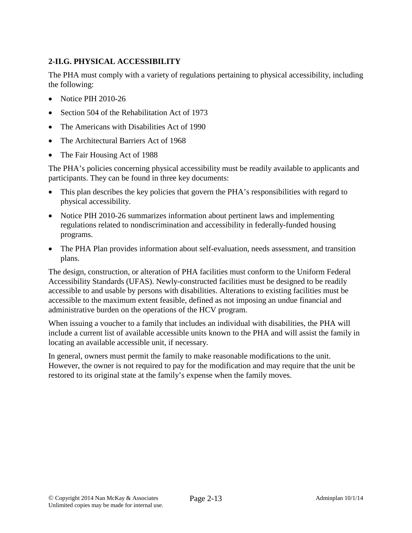# **2-II.G. PHYSICAL ACCESSIBILITY**

The PHA must comply with a variety of regulations pertaining to physical accessibility, including the following:

- Notice PIH 2010-26
- Section 504 of the Rehabilitation Act of 1973
- The Americans with Disabilities Act of 1990
- The Architectural Barriers Act of 1968
- The Fair Housing Act of 1988

The PHA's policies concerning physical accessibility must be readily available to applicants and participants. They can be found in three key documents:

- This plan describes the key policies that govern the PHA's responsibilities with regard to physical accessibility.
- Notice PIH 2010-26 summarizes information about pertinent laws and implementing regulations related to nondiscrimination and accessibility in federally-funded housing programs.
- The PHA Plan provides information about self-evaluation, needs assessment, and transition plans.

The design, construction, or alteration of PHA facilities must conform to the Uniform Federal Accessibility Standards (UFAS). Newly-constructed facilities must be designed to be readily accessible to and usable by persons with disabilities. Alterations to existing facilities must be accessible to the maximum extent feasible, defined as not imposing an undue financial and administrative burden on the operations of the HCV program.

When issuing a voucher to a family that includes an individual with disabilities, the PHA will include a current list of available accessible units known to the PHA and will assist the family in locating an available accessible unit, if necessary.

In general, owners must permit the family to make reasonable modifications to the unit. However, the owner is not required to pay for the modification and may require that the unit be restored to its original state at the family's expense when the family moves.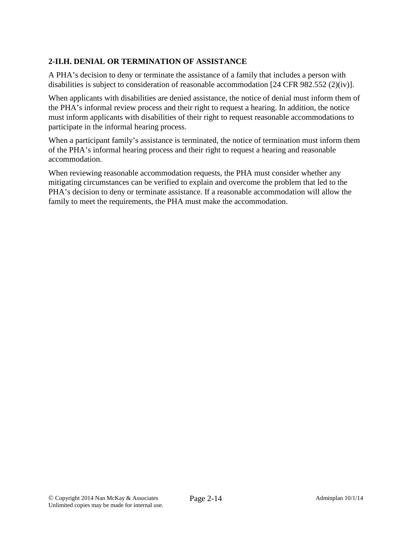# **2-II.H. DENIAL OR TERMINATION OF ASSISTANCE**

A PHA's decision to deny or terminate the assistance of a family that includes a person with disabilities is subject to consideration of reasonable accommodation [24 CFR 982.552 (2)(iv)].

When applicants with disabilities are denied assistance, the notice of denial must inform them of the PHA's informal review process and their right to request a hearing. In addition, the notice must inform applicants with disabilities of their right to request reasonable accommodations to participate in the informal hearing process.

When a participant family's assistance is terminated, the notice of termination must inform them of the PHA's informal hearing process and their right to request a hearing and reasonable accommodation.

When reviewing reasonable accommodation requests, the PHA must consider whether any mitigating circumstances can be verified to explain and overcome the problem that led to the PHA's decision to deny or terminate assistance. If a reasonable accommodation will allow the family to meet the requirements, the PHA must make the accommodation.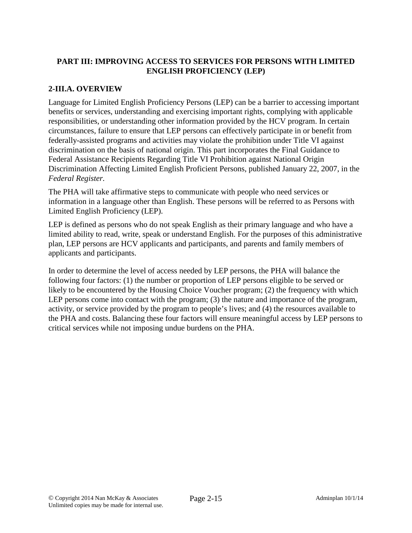## **PART III: IMPROVING ACCESS TO SERVICES FOR PERSONS WITH LIMITED ENGLISH PROFICIENCY (LEP)**

## **2-III.A. OVERVIEW**

Language for Limited English Proficiency Persons (LEP) can be a barrier to accessing important benefits or services, understanding and exercising important rights, complying with applicable responsibilities, or understanding other information provided by the HCV program. In certain circumstances, failure to ensure that LEP persons can effectively participate in or benefit from federally-assisted programs and activities may violate the prohibition under Title VI against discrimination on the basis of national origin. This part incorporates the Final Guidance to Federal Assistance Recipients Regarding Title VI Prohibition against National Origin Discrimination Affecting Limited English Proficient Persons, published January 22, 2007, in the *Federal Register.*

The PHA will take affirmative steps to communicate with people who need services or information in a language other than English. These persons will be referred to as Persons with Limited English Proficiency (LEP).

LEP is defined as persons who do not speak English as their primary language and who have a limited ability to read, write, speak or understand English. For the purposes of this administrative plan, LEP persons are HCV applicants and participants, and parents and family members of applicants and participants.

In order to determine the level of access needed by LEP persons, the PHA will balance the following four factors: (1) the number or proportion of LEP persons eligible to be served or likely to be encountered by the Housing Choice Voucher program; (2) the frequency with which LEP persons come into contact with the program; (3) the nature and importance of the program, activity, or service provided by the program to people's lives; and (4) the resources available to the PHA and costs. Balancing these four factors will ensure meaningful access by LEP persons to critical services while not imposing undue burdens on the PHA.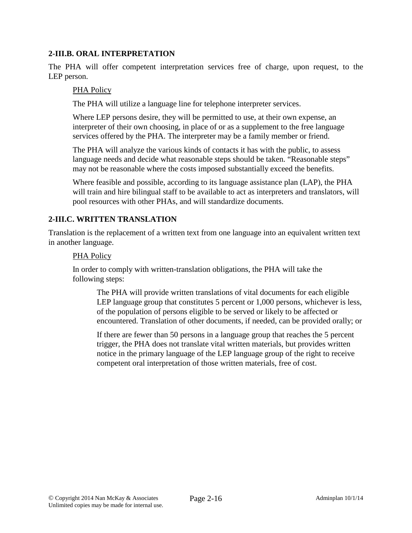### **2-III.B. ORAL INTERPRETATION**

The PHA will offer competent interpretation services free of charge, upon request, to the LEP person.

#### PHA Policy

The PHA will utilize a language line for telephone interpreter services.

Where LEP persons desire, they will be permitted to use, at their own expense, an interpreter of their own choosing, in place of or as a supplement to the free language services offered by the PHA. The interpreter may be a family member or friend.

The PHA will analyze the various kinds of contacts it has with the public, to assess language needs and decide what reasonable steps should be taken. "Reasonable steps" may not be reasonable where the costs imposed substantially exceed the benefits.

Where feasible and possible, according to its language assistance plan (LAP), the PHA will train and hire bilingual staff to be available to act as interpreters and translators, will pool resources with other PHAs, and will standardize documents.

### **2-III.C. WRITTEN TRANSLATION**

Translation is the replacement of a written text from one language into an equivalent written text in another language.

#### PHA Policy

In order to comply with written-translation obligations, the PHA will take the following steps:

The PHA will provide written translations of vital documents for each eligible LEP language group that constitutes 5 percent or 1,000 persons, whichever is less, of the population of persons eligible to be served or likely to be affected or encountered. Translation of other documents, if needed, can be provided orally; or

If there are fewer than 50 persons in a language group that reaches the 5 percent trigger, the PHA does not translate vital written materials, but provides written notice in the primary language of the LEP language group of the right to receive competent oral interpretation of those written materials, free of cost.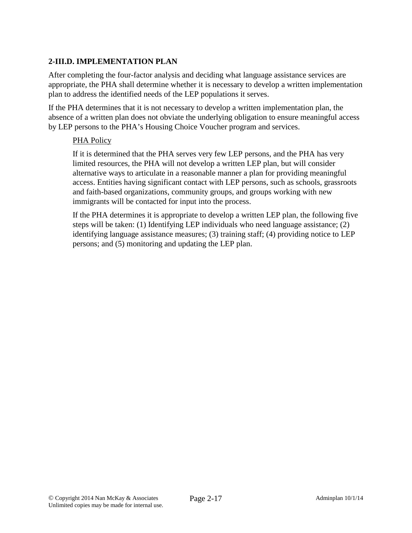## **2-III.D. IMPLEMENTATION PLAN**

After completing the four-factor analysis and deciding what language assistance services are appropriate, the PHA shall determine whether it is necessary to develop a written implementation plan to address the identified needs of the LEP populations it serves.

If the PHA determines that it is not necessary to develop a written implementation plan, the absence of a written plan does not obviate the underlying obligation to ensure meaningful access by LEP persons to the PHA's Housing Choice Voucher program and services.

### PHA Policy

If it is determined that the PHA serves very few LEP persons, and the PHA has very limited resources, the PHA will not develop a written LEP plan, but will consider alternative ways to articulate in a reasonable manner a plan for providing meaningful access. Entities having significant contact with LEP persons, such as schools, grassroots and faith-based organizations, community groups, and groups working with new immigrants will be contacted for input into the process.

If the PHA determines it is appropriate to develop a written LEP plan, the following five steps will be taken: (1) Identifying LEP individuals who need language assistance; (2) identifying language assistance measures; (3) training staff; (4) providing notice to LEP persons; and (5) monitoring and updating the LEP plan.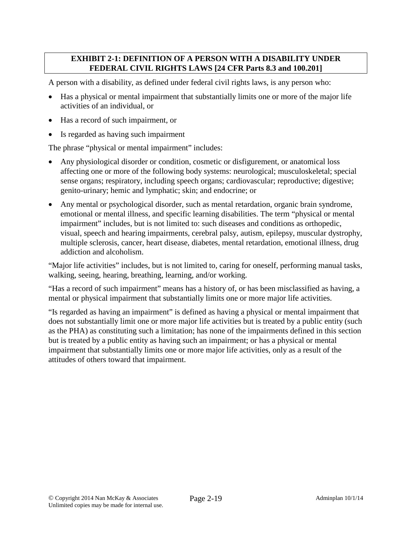### **EXHIBIT 2-1: DEFINITION OF A PERSON WITH A DISABILITY UNDER FEDERAL CIVIL RIGHTS LAWS [24 CFR Parts 8.3 and 100.201]**

A person with a disability, as defined under federal civil rights laws, is any person who:

- Has a physical or mental impairment that substantially limits one or more of the major life activities of an individual, or
- Has a record of such impairment, or
- Is regarded as having such impairment

The phrase "physical or mental impairment" includes:

- Any physiological disorder or condition, cosmetic or disfigurement, or anatomical loss affecting one or more of the following body systems: neurological; musculoskeletal; special sense organs; respiratory, including speech organs; cardiovascular; reproductive; digestive; genito-urinary; hemic and lymphatic; skin; and endocrine; or
- Any mental or psychological disorder, such as mental retardation, organic brain syndrome, emotional or mental illness, and specific learning disabilities. The term "physical or mental impairment" includes, but is not limited to: such diseases and conditions as orthopedic, visual, speech and hearing impairments, cerebral palsy, autism, epilepsy, muscular dystrophy, multiple sclerosis, cancer, heart disease, diabetes, mental retardation, emotional illness, drug addiction and alcoholism.

"Major life activities" includes, but is not limited to, caring for oneself, performing manual tasks, walking, seeing, hearing, breathing, learning, and/or working.

"Has a record of such impairment" means has a history of, or has been misclassified as having, a mental or physical impairment that substantially limits one or more major life activities.

"Is regarded as having an impairment" is defined as having a physical or mental impairment that does not substantially limit one or more major life activities but is treated by a public entity (such as the PHA) as constituting such a limitation; has none of the impairments defined in this section but is treated by a public entity as having such an impairment; or has a physical or mental impairment that substantially limits one or more major life activities, only as a result of the attitudes of others toward that impairment.